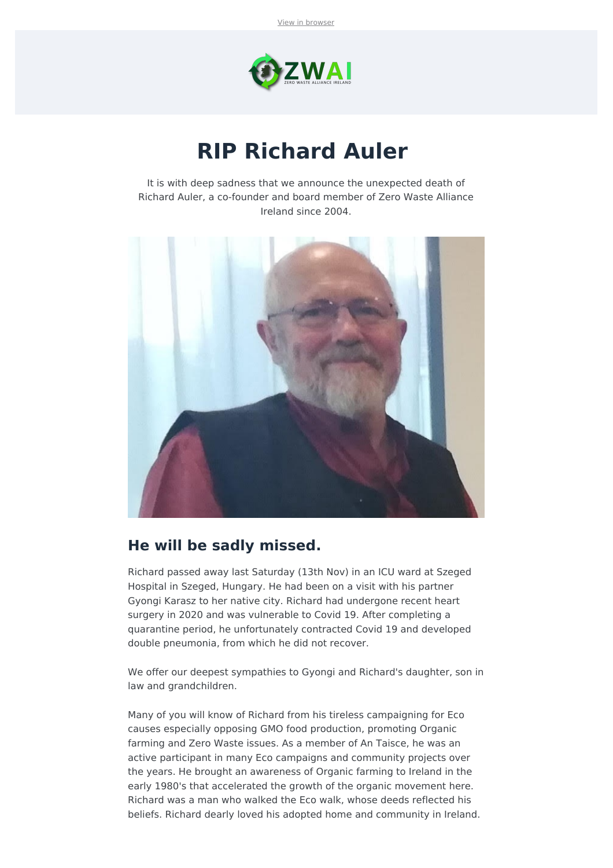

## **RIP Richard Auler**

It is with deep sadness that we announce the unexpected death of Richard Auler, a co-founder and board member of Zero Waste Alliance Ireland since 2004.



## **He will be sadly missed.**

Richard passed away last Saturday (13th Nov) in an ICU ward at Szeged Hospital in Szeged, Hungary. He had been on a visit with his partner Gyongi Karasz to her native city. Richard had undergone recent heart surgery in 2020 and was vulnerable to Covid 19. After completing a quarantine period, he unfortunately contracted Covid 19 and developed double pneumonia, from which he did not recover.

We offer our deepest sympathies to Gyongi and Richard's daughter, son in law and grandchildren.

Many of you will know of Richard from his tireless campaigning for Eco causes especially opposing GMO food production, promoting Organic farming and Zero Waste issues. As a member of An Taisce, he was an active participant in many Eco campaigns and community projects over the years. He brought an awareness of Organic farming to Ireland in the early 1980's that accelerated the growth of the organic movement here. Richard was a man who walked the Eco walk, whose deeds reflected his beliefs. Richard dearly loved his adopted home and community in Ireland.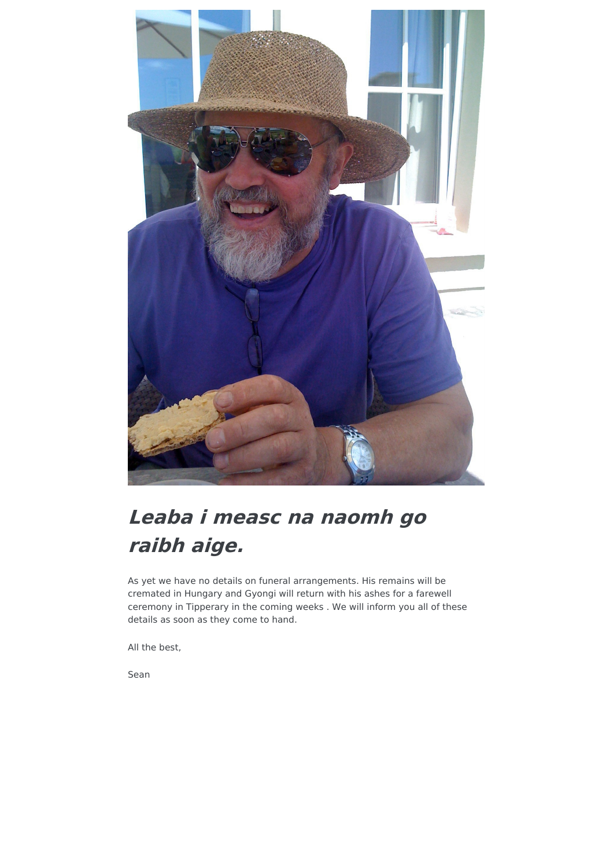

## **Leaba i measc na naomh go raibh aige.**

As yet we have no details on funeral arrangements. His remains will be cremated in Hungary and Gyongi will return with his ashes for a farewell ceremony in Tipperary in the coming weeks . We will inform you all of these details as soon as they come to hand.

All the best,

Sean